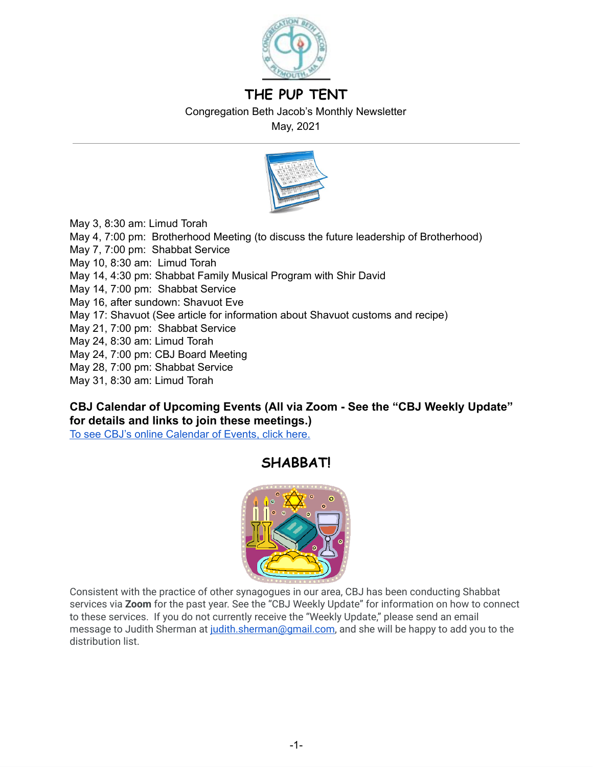

# **THE PUP TENT**

Congregation Beth Jacob's Monthly Newsletter

May, 2021



May 3, 8:30 am: Limud Torah

- May 4, 7:00 pm: Brotherhood Meeting (to discuss the future leadership of Brotherhood)
- May 7, 7:00 pm: Shabbat Service
- May 10, 8:30 am: Limud Torah
- May 14, 4:30 pm: Shabbat Family Musical Program with Shir David
- May 14, 7:00 pm: Shabbat Service
- May 16, after sundown: Shavuot Eve
- May 17: Shavuot (See article for information about Shavuot customs and recipe)
- May 21, 7:00 pm: Shabbat Service
- May 24, 8:30 am: Limud Torah
- May 24, 7:00 pm: CBJ Board Meeting
- May 28, 7:00 pm: Shabbat Service
- May 31, 8:30 am: Limud Torah

## **CBJ Calendar of Upcoming Events (All via Zoom - See the "CBJ Weekly Update" for details and links to join these meetings.)**

To see CBJ's online [Calendar](http://cbjplymouth.org/) of Events, click here.

# **SHABBAT!**



Consistent with the practice of other synagogues in our area, CBJ has been conducting Shabbat services via **Zoom** for the past year. See the "CBJ Weekly Update" for information on how to connect to these services. If you do not currently receive the "Weekly Update," please send an email message to Judith Sherman at judith.sherman@gmail.com, and she will be happy to add you to the distribution list.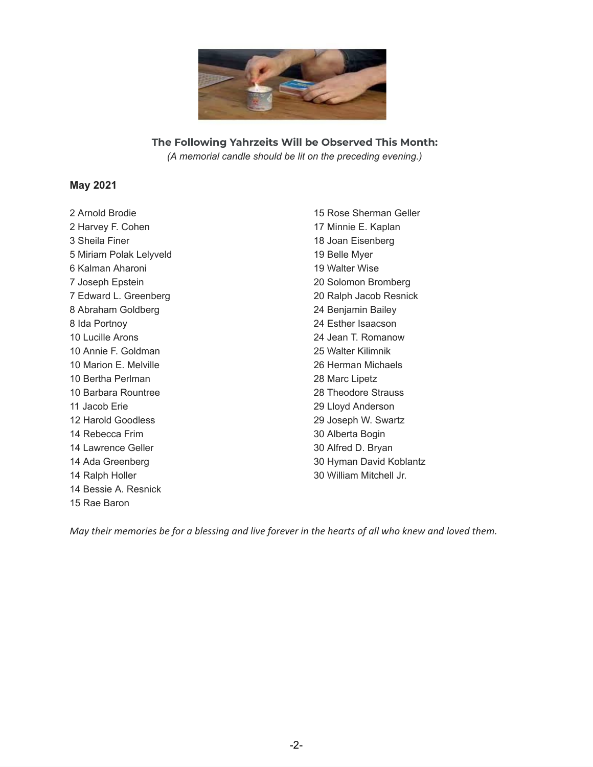

**The Following Yahrzeits Will be Observed This Month:** *(A memorial candle should be lit on the preceding evening.)*

### **May 2021**

 Arnold Brodie Harvey F. Cohen Sheila Finer Miriam Polak Lelyveld Kalman Aharoni Joseph Epstein Edward L. Greenberg Abraham Goldberg Ida Portnoy Lucille Arons Annie F. Goldman Marion E. Melville Bertha Perlman Barbara Rountree Jacob Erie Harold Goodless Rebecca Frim Lawrence Geller Ada Greenberg Ralph Holler Bessie A. Resnick Rae Baron

 Rose Sherman Geller Minnie E. Kaplan Joan Eisenberg Belle Myer Walter Wise Solomon Bromberg Ralph Jacob Resnick Benjamin Bailey Esther Isaacson Jean T. Romanow Walter Kilimnik Herman Michaels Marc Lipetz Theodore Strauss Lloyd Anderson Joseph W. Swartz Alberta Bogin Alfred D. Bryan Hyman David Koblantz William Mitchell Jr.

May their memories be for a blessing and live forever in the hearts of all who knew and loved them.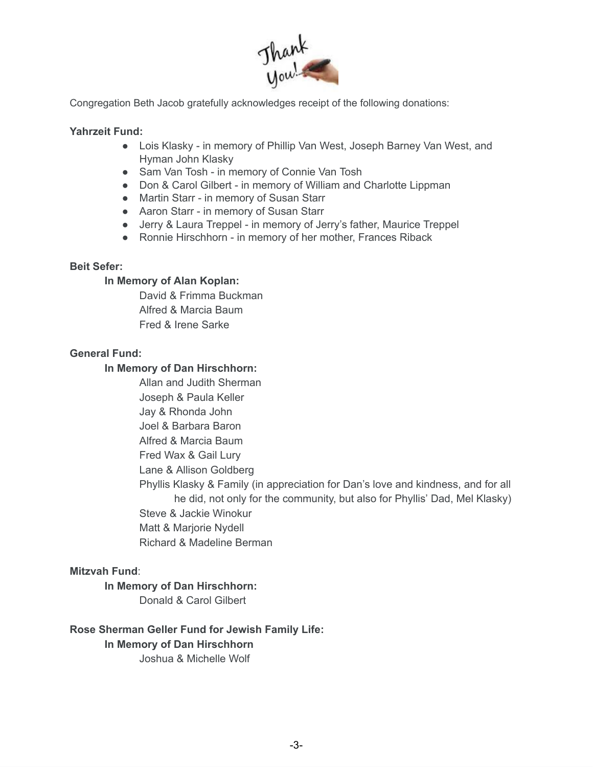

Congregation Beth Jacob gratefully acknowledges receipt of the following donations:

### **Yahrzeit Fund:**

- Lois Klasky in memory of Phillip Van West, Joseph Barney Van West, and Hyman John Klasky
- Sam Van Tosh in memory of Connie Van Tosh
- Don & Carol Gilbert in memory of William and Charlotte Lippman
- Martin Starr in memory of Susan Starr
- Aaron Starr in memory of Susan Starr
- Jerry & Laura Treppel in memory of Jerry's father, Maurice Treppel
- Ronnie Hirschhorn in memory of her mother, Frances Riback

### **Beit Sefer:**

### **In Memory of Alan Koplan:**

David & Frimma Buckman Alfred & Marcia Baum Fred & Irene Sarke

### **General Fund:**

### **In Memory of Dan Hirschhorn:**

Allan and Judith Sherman

Joseph & Paula Keller

Jay & Rhonda John

Joel & Barbara Baron

Alfred & Marcia Baum

Fred Wax & Gail Lury

Lane & Allison Goldberg

Phyllis Klasky & Family (in appreciation for Dan's love and kindness, and for all he did, not only for the community, but also for Phyllis' Dad, Mel Klasky) Steve & Jackie Winokur Matt & Marjorie Nydell Richard & Madeline Berman

### **Mitzvah Fund**:

**In Memory of Dan Hirschhorn:**

Donald & Carol Gilbert

### **Rose Sherman Geller Fund for Jewish Family Life: In Memory of Dan Hirschhorn**

Joshua & Michelle Wolf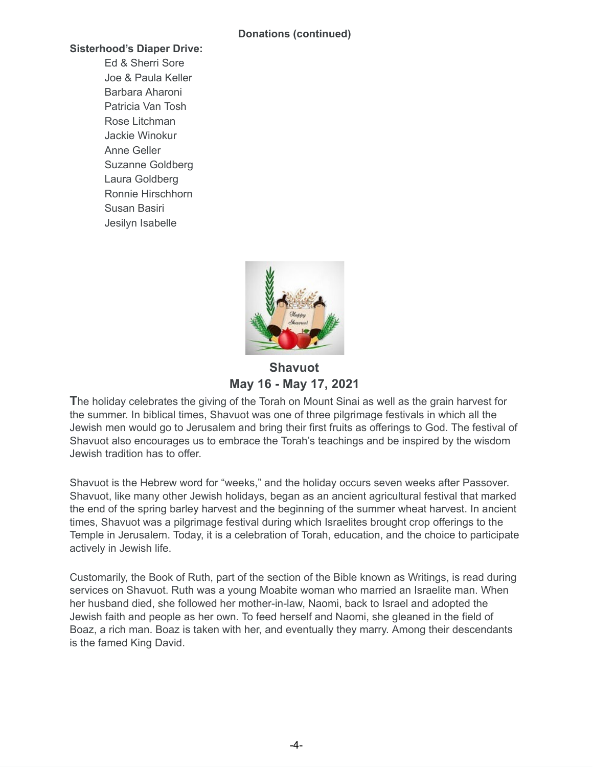### **Sisterhood's Diaper Drive:**

Ed & Sherri Sore Joe & Paula Keller Barbara Aharoni Patricia Van Tosh Rose Litchman Jackie Winokur Anne Geller Suzanne Goldberg Laura Goldberg Ronnie Hirschhorn Susan Basiri Jesilyn Isabelle



**Shavuot May 16 - May 17, 2021**

**T**he holiday celebrates the giving of the Torah on Mount Sinai as well as the grain harvest for the summer. In biblical times, Shavuot was one of three pilgrimage festivals in which all the Jewish men would go to Jerusalem and bring their first fruits as offerings to God. The festival of Shavuot also encourages us to embrace the Torah's teachings and be inspired by the wisdom Jewish tradition has to offer.

Shavuot is the Hebrew word for "weeks," and the holiday occurs seven weeks after Passover. Shavuot, like many other Jewish holidays, began as an ancient agricultural festival that marked the end of the spring barley harvest and the beginning of the summer wheat harvest. In ancient times, Shavuot was a pilgrimage festival during which Israelites brought crop offerings to the Temple in Jerusalem. Today, it is a celebration of Torah, education, and the choice to participate actively in Jewish life.

Customarily, the Book of Ruth, part of the section of the Bible known as Writings, is read during services on Shavuot. Ruth was a young Moabite woman who married an Israelite man. When her husband died, she followed her mother-in-law, Naomi, back to Israel and adopted the Jewish faith and people as her own. To feed herself and Naomi, she gleaned in the field of Boaz, a rich man. Boaz is taken with her, and eventually they marry. Among their descendants is the famed King David.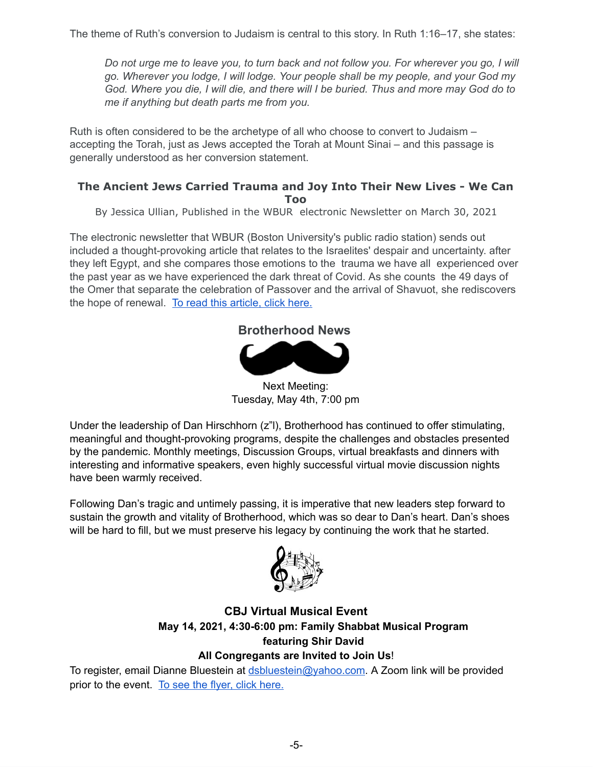The theme of Ruth's conversion to Judaism is central to this story. In Ruth 1:16–17, she states:

Do not urge me to leave you, to turn back and not follow you. For wherever you go, I will *go. Wherever you lodge, I will lodge. Your people shall be my people, and your God my* God. Where you die, I will die, and there will I be buried. Thus and more may God do to *me if anything but death parts me from you.*

Ruth is often considered to be the archetype of all who choose to convert to Judaism – accepting the Torah, just as Jews accepted the Torah at Mount Sinai – and this passage is generally understood as her conversion statement.

### **The Ancient Jews Carried Trauma and Joy Into Their New Lives - We Can Too**

By Jessica Ullian, Published in the WBUR electronic Newsletter on March 30, 2021

The electronic newsletter that WBUR (Boston University's public radio station) sends out included a thought-provoking article that relates to the Israelites' despair and uncertainty. after they left Egypt, and she compares those emotions to the trauma we have all experienced over the past year as we have experienced the dark threat of Covid. As she counts the 49 days of the Omer that separate the celebration of Passover and the arrival of Shavuot, she rediscovers the hope of renewal. To read this [article,](https://www.wbur.org/cognoscenti/2021/03/30/pandemic-passover-counting-the-omer-jessica-ullian) click here.

# **Brotherhood News**



Next Meeting: Tuesday, May 4th, 7:00 pm

Under the leadership of Dan Hirschhorn (z"l), Brotherhood has continued to offer stimulating, meaningful and thought-provoking programs, despite the challenges and obstacles presented by the pandemic. Monthly meetings, Discussion Groups, virtual breakfasts and dinners with interesting and informative speakers, even highly successful virtual movie discussion nights have been warmly received.

Following Dan's tragic and untimely passing, it is imperative that new leaders step forward to sustain the growth and vitality of Brotherhood, which was so dear to Dan's heart. Dan's shoes will be hard to fill, but we must preserve his legacy by continuing the work that he started.



### **CBJ Virtual Musical Event May 14, 2021, 4:30-6:00 pm: Family Shabbat Musical Program featuring Shir David All Congregants are Invited to Join Us**!

To register, email Dianne Bluestein at [dsbluestein@yahoo.com](mailto:dsbluestein@yahoo.com). A Zoom link will be provided prior to the event. To see the flyer, click [here.](https://drive.google.com/file/d/1Td6o4Oq2omVJSilJ6Q7x4iLe_vK2MrXz/view?usp=sharing)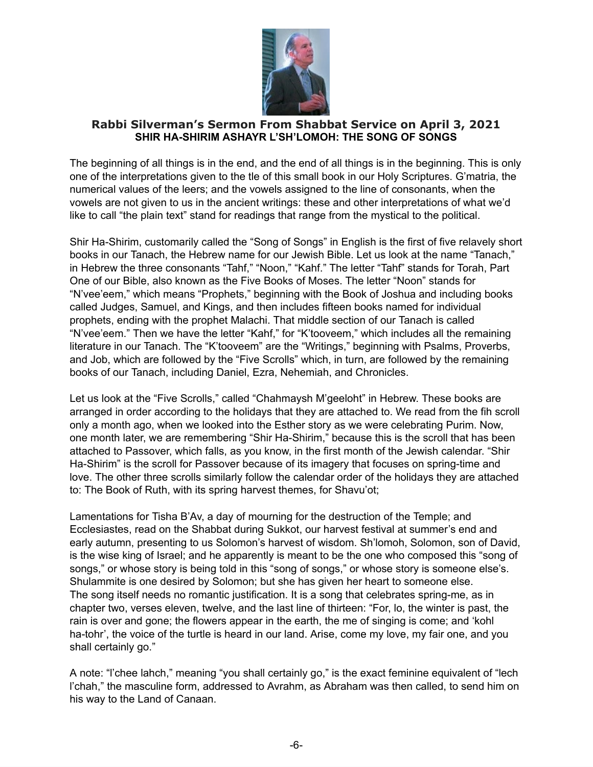

### **Rabbi Silverman's Sermon From Shabbat Service on April 3, 2021 SHIR HA-SHIRIM ASHAYR L'SH'LOMOH: THE SONG OF SONGS**

The beginning of all things is in the end, and the end of all things is in the beginning. This is only one of the interpretations given to the tle of this small book in our Holy Scriptures. G'matria, the numerical values of the leers; and the vowels assigned to the line of consonants, when the vowels are not given to us in the ancient writings: these and other interpretations of what we'd like to call "the plain text" stand for readings that range from the mystical to the political.

Shir Ha-Shirim, customarily called the "Song of Songs" in English is the first of five relavely short books in our Tanach, the Hebrew name for our Jewish Bible. Let us look at the name "Tanach," in Hebrew the three consonants "Tahf," "Noon," "Kahf." The letter "Tahf" stands for Torah, Part One of our Bible, also known as the Five Books of Moses. The letter "Noon" stands for "N'vee'eem," which means "Prophets," beginning with the Book of Joshua and including books called Judges, Samuel, and Kings, and then includes fifteen books named for individual prophets, ending with the prophet Malachi. That middle section of our Tanach is called "N'vee'eem." Then we have the letter "Kahf," for "K'tooveem," which includes all the remaining literature in our Tanach. The "K'tooveem" are the "Writings," beginning with Psalms, Proverbs, and Job, which are followed by the "Five Scrolls" which, in turn, are followed by the remaining books of our Tanach, including Daniel, Ezra, Nehemiah, and Chronicles.

Let us look at the "Five Scrolls," called "Chahmaysh M'geeloht" in Hebrew. These books are arranged in order according to the holidays that they are attached to. We read from the fih scroll only a month ago, when we looked into the Esther story as we were celebrating Purim. Now, one month later, we are remembering "Shir Ha-Shirim," because this is the scroll that has been attached to Passover, which falls, as you know, in the first month of the Jewish calendar. "Shir Ha-Shirim" is the scroll for Passover because of its imagery that focuses on spring-time and love. The other three scrolls similarly follow the calendar order of the holidays they are attached to: The Book of Ruth, with its spring harvest themes, for Shavu'ot;

Lamentations for Tisha B'Av, a day of mourning for the destruction of the Temple; and Ecclesiastes, read on the Shabbat during Sukkot, our harvest festival at summer's end and early autumn, presenting to us Solomon's harvest of wisdom. Sh'lomoh, Solomon, son of David, is the wise king of Israel; and he apparently is meant to be the one who composed this "song of songs," or whose story is being told in this "song of songs," or whose story is someone else's. Shulammite is one desired by Solomon; but she has given her heart to someone else. The song itself needs no romantic justification. It is a song that celebrates spring-me, as in chapter two, verses eleven, twelve, and the last line of thirteen: "For, lo, the winter is past, the rain is over and gone; the flowers appear in the earth, the me of singing is come; and 'kohl ha-tohr', the voice of the turtle is heard in our land. Arise, come my love, my fair one, and you shall certainly go."

A note: "l'chee lahch," meaning "you shall certainly go," is the exact feminine equivalent of "lech l'chah," the masculine form, addressed to Avrahm, as Abraham was then called, to send him on his way to the Land of Canaan.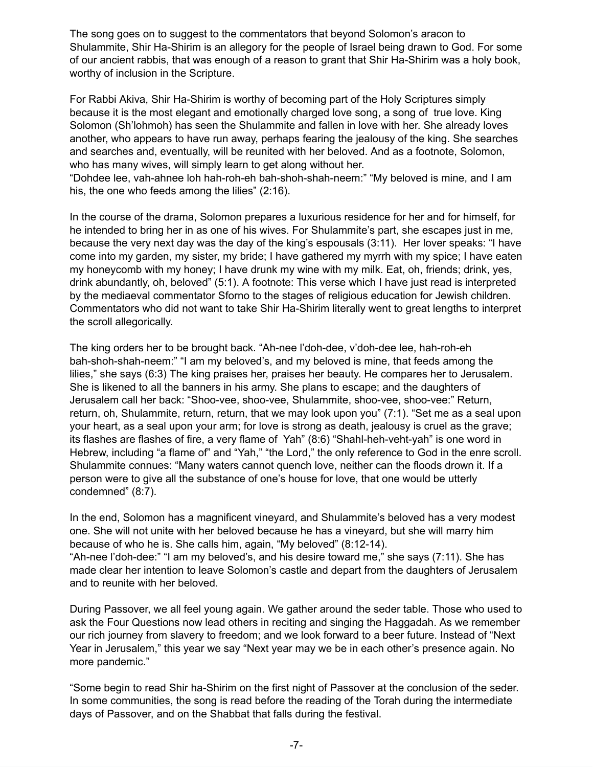The song goes on to suggest to the commentators that beyond Solomon's aracon to Shulammite, Shir Ha-Shirim is an allegory for the people of Israel being drawn to God. For some of our ancient rabbis, that was enough of a reason to grant that Shir Ha-Shirim was a holy book, worthy of inclusion in the Scripture.

For Rabbi Akiva, Shir Ha-Shirim is worthy of becoming part of the Holy Scriptures simply because it is the most elegant and emotionally charged love song, a song of true love. King Solomon (Sh'lohmoh) has seen the Shulammite and fallen in love with her. She already loves another, who appears to have run away, perhaps fearing the jealousy of the king. She searches and searches and, eventually, will be reunited with her beloved. And as a footnote, Solomon, who has many wives, will simply learn to get along without her.

"Dohdee lee, vah-ahnee loh hah-roh-eh bah-shoh-shah-neem:" "My beloved is mine, and I am his, the one who feeds among the lilies" (2:16).

In the course of the drama, Solomon prepares a luxurious residence for her and for himself, for he intended to bring her in as one of his wives. For Shulammite's part, she escapes just in me, because the very next day was the day of the king's espousals (3:11). Her lover speaks: "I have come into my garden, my sister, my bride; I have gathered my myrrh with my spice; I have eaten my honeycomb with my honey; I have drunk my wine with my milk. Eat, oh, friends; drink, yes, drink abundantly, oh, beloved" (5:1). A footnote: This verse which I have just read is interpreted by the mediaeval commentator Sforno to the stages of religious education for Jewish children. Commentators who did not want to take Shir Ha-Shirim literally went to great lengths to interpret the scroll allegorically.

The king orders her to be brought back. "Ah-nee l'doh-dee, v'doh-dee lee, hah-roh-eh bah-shoh-shah-neem:" "I am my beloved's, and my beloved is mine, that feeds among the lilies," she says (6:3) The king praises her, praises her beauty. He compares her to Jerusalem. She is likened to all the banners in his army. She plans to escape; and the daughters of Jerusalem call her back: "Shoo-vee, shoo-vee, Shulammite, shoo-vee, shoo-vee:" Return, return, oh, Shulammite, return, return, that we may look upon you" (7:1). "Set me as a seal upon your heart, as a seal upon your arm; for love is strong as death, jealousy is cruel as the grave; its flashes are flashes of fire, a very flame of Yah" (8:6) "Shahl-heh-veht-yah" is one word in Hebrew, including "a flame of" and "Yah," "the Lord," the only reference to God in the enre scroll. Shulammite connues: "Many waters cannot quench love, neither can the floods drown it. If a person were to give all the substance of one's house for love, that one would be utterly condemned" (8:7).

In the end, Solomon has a magnificent vineyard, and Shulammite's beloved has a very modest one. She will not unite with her beloved because he has a vineyard, but she will marry him because of who he is. She calls him, again, "My beloved" (8:12-14). "Ah-nee l'doh-dee:" "I am my beloved's, and his desire toward me," she says (7:11). She has made clear her intention to leave Solomon's castle and depart from the daughters of Jerusalem and to reunite with her beloved.

During Passover, we all feel young again. We gather around the seder table. Those who used to ask the Four Questions now lead others in reciting and singing the Haggadah. As we remember our rich journey from slavery to freedom; and we look forward to a beer future. Instead of "Next Year in Jerusalem," this year we say "Next year may we be in each other's presence again. No more pandemic."

"Some begin to read Shir ha-Shirim on the first night of Passover at the conclusion of the seder. In some communities, the song is read before the reading of the Torah during the intermediate days of Passover, and on the Shabbat that falls during the festival.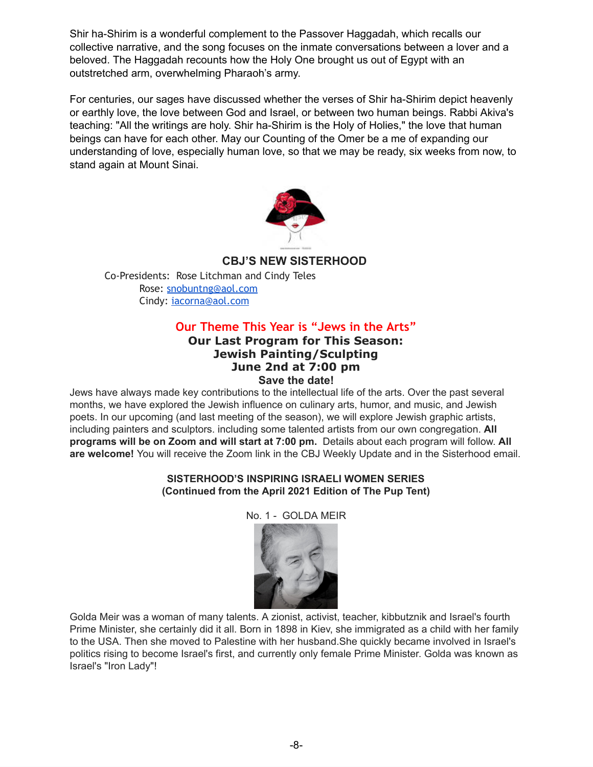Shir ha-Shirim is a wonderful complement to the Passover Haggadah, which recalls our collective narrative, and the song focuses on the inmate conversations between a lover and a beloved. The Haggadah recounts how the Holy One brought us out of Egypt with an outstretched arm, overwhelming Pharaoh's army.

For centuries, our sages have discussed whether the verses of Shir ha-Shirim depict heavenly or earthly love, the love between God and Israel, or between two human beings. Rabbi Akiva's teaching: "All the writings are holy. Shir ha-Shirim is the Holy of Holies," the love that human beings can have for each other. May our Counting of the Omer be a me of expanding our understanding of love, especially human love, so that we may be ready, six weeks from now, to stand again at Mount Sinai.



### **CBJ'S NEW SISTERHOOD**

Co-Presidents: Rose Litchman and Cindy Teles Rose: [snobuntng@aol.com](mailto:snobuntng@aol.com) Cindy: [iacorna@aol.com](mailto:iacorna@aol.com)

# **Our Theme This Year is "Jews in the Arts"**

### **Our Last Program for This Season: Jewish Painting/Sculpting June 2nd at 7:00 pm Save the date!**

Jews have always made key contributions to the intellectual life of the arts. Over the past several months, we have explored the Jewish influence on culinary arts, humor, and music, and Jewish poets. In our upcoming (and last meeting of the season), we will explore Jewish graphic artists, including painters and sculptors. including some talented artists from our own congregation. **All programs will be on Zoom and will start at 7:00 pm.** Details about each program will follow. **All are welcome!** You will receive the Zoom link in the CBJ Weekly Update and in the Sisterhood email.

### **SISTERHOOD'S INSPIRING ISRAELI WOMEN SERIES (Continued from the April 2021 Edition of The Pup Tent)**

### No. 1 - GOLDA MEIR



Golda Meir was a woman of many talents. A zionist, activist, teacher, kibbutznik and Israel's fourth Prime Minister, she certainly did it all. Born in 1898 in Kiev, she immigrated as a child with her family to the USA. Then she moved to Palestine with her husband.She quickly became involved in Israel's politics rising to become Israel's first, and currently only female Prime Minister. Golda was known as Israel's "Iron Lady"!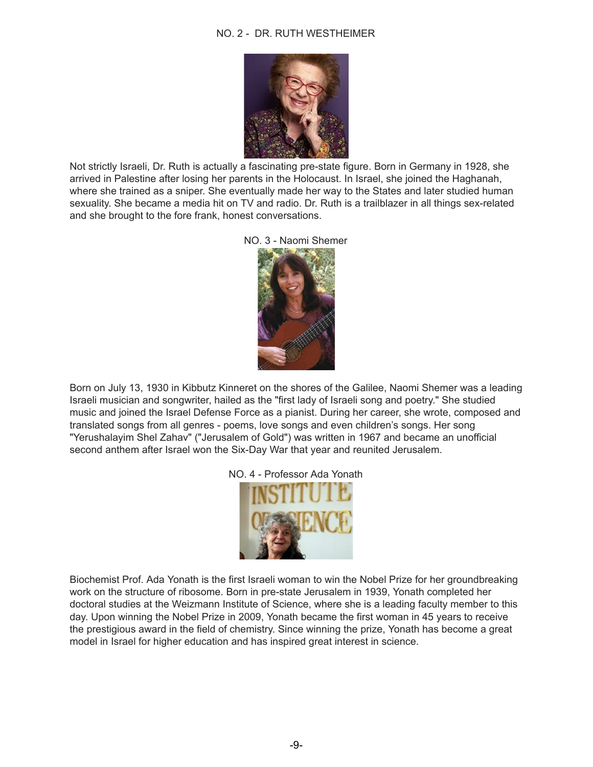### NO. 2 - DR. RUTH WESTHEIMER



Not strictly Israeli, Dr. Ruth is actually a fascinating pre-state figure. Born in Germany in 1928, she arrived in Palestine after losing her parents in the Holocaust. In Israel, she joined the Haghanah, where she trained as a sniper. She eventually made her way to the States and later studied human sexuality. She became a media hit on TV and radio. Dr. Ruth is a trailblazer in all things sex-related and she brought to the fore frank, honest conversations.





Born on July 13, 1930 in Kibbutz Kinneret on the shores of the Galilee, Naomi Shemer was a leading Israeli musician and songwriter, hailed as the "first lady of Israeli song and poetry." She studied music and joined the Israel Defense Force as a pianist. During her career, she wrote, composed and translated songs from all genres - poems, love songs and even children's songs. Her song "Yerushalayim Shel Zahav" ("Jerusalem of Gold") was written in 1967 and became an unofficial second anthem after Israel won the Six-Day War that year and reunited Jerusalem.





Biochemist Prof. Ada Yonath is the first Israeli woman to win the Nobel Prize for her groundbreaking work on the structure of ribosome. Born in pre-state Jerusalem in 1939, Yonath completed her doctoral studies at the Weizmann Institute of Science, where she is a leading faculty member to this day. Upon winning the Nobel Prize in 2009, Yonath became the first woman in 45 years to receive the prestigious award in the field of chemistry. Since winning the prize, Yonath has become a great model in Israel for higher education and has inspired great interest in science.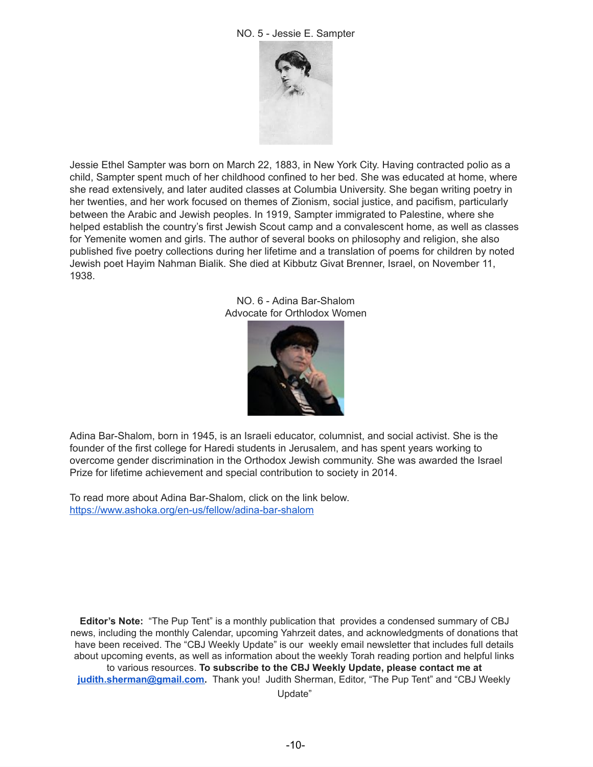

Jessie Ethel Sampter was born on March 22, 1883, in New York City. Having contracted polio as a child, Sampter spent much of her childhood confined to her bed. She was educated at home, where she read extensively, and later audited classes at Columbia University. She began writing poetry in her twenties, and her work focused on themes of Zionism, social justice, and pacifism, particularly between the Arabic and Jewish peoples. In 1919, Sampter immigrated to Palestine, where she helped establish the country's first Jewish Scout camp and a convalescent home, as well as classes for Yemenite women and girls. The author of several books on philosophy and religion, she also published five poetry collections during her lifetime and a translation of poems for children by noted Jewish poet Hayim Nahman Bialik. She died at Kibbutz Givat Brenner, Israel, on November 11, 1938.

> NO. 6 - Adina Bar-Shalom Advocate for Orthlodox Women



Adina Bar-Shalom, born in 1945, is an Israeli educator, columnist, and social activist. She is the founder of the first college for Haredi students in Jerusalem, and has spent years working to overcome gender discrimination in the Orthodox Jewish community. She was awarded the Israel Prize for lifetime achievement and special contribution to society in 2014.

To read more about Adina Bar-Shalom, click on the link below. <https://www.ashoka.org/en-us/fellow/adina-bar-shalom>

**Editor's Note:** "The Pup Tent" is a monthly publication that provides a condensed summary of CBJ news, including the monthly Calendar, upcoming Yahrzeit dates, and acknowledgments of donations that have been received. The "CBJ Weekly Update" is our weekly email newsletter that includes full details about upcoming events, as well as information about the weekly Torah reading portion and helpful links to various resources. **To subscribe to the CBJ Weekly Update, please contact me at [judith.sherman@gmail.com](mailto:judith.sherman@gmail.com).** Thank you! Judith Sherman, Editor, "The Pup Tent" and "CBJ Weekly

Update"